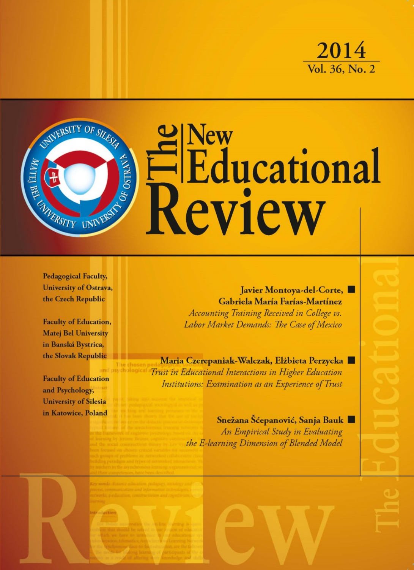



**Pedagogical Faculty,** University of Ostrava, the Czech Republic

**Faculty of Education, Matej Bel University** in Banská Bystrica. the Slovak Republic

**Faculty of Education** and Psychology, **University of Silesia** in Katowice, Poland

**Javier Montova-del-Corte,** Gabriela María Farías-Martínez Accounting Training Received in College vs. Labor Market Demands: The Case of Mexico

Maria Czerepaniak-Walczak, Elżbieta Perzycka Trust in Educational Interactions in Higher Education Institutions: Examination as an Experience of Trust

> Snežana Šćepanović, Sanja Bauk An Empirical Study in Evaluating the E-learning Dimension of Blended Model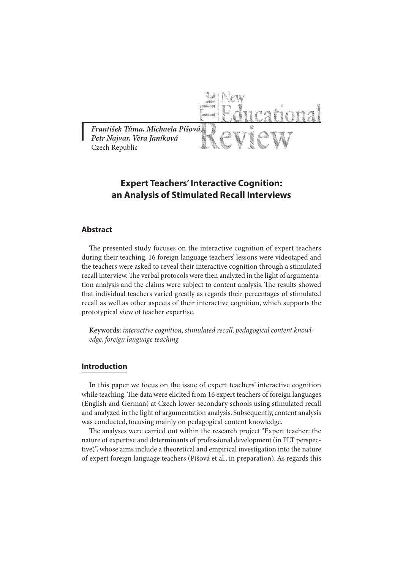

# **Expert Teachers' Interactive Cognition: an Analysis of Stimulated Recall Interviews**

## **Abstract**

The presented study focuses on the interactive cognition of expert teachers during their teaching. 16 foreign language teachers' lessons were videotaped and the teachers were asked to reveal their interactive cognition through a stimulated recall interview. The verbal protocols were then analyzed in the light of argumentation analysis and the claims were subject to content analysis. The results showed that individual teachers varied greatly as regards their percentages of stimulated recall as well as other aspects of their interactive cognition, which supports the prototypical view of teacher expertise.

**Keywords:** *interactive cognition, stimulated recall, pedagogical content knowledge, foreign language teaching*

# **Introduction**

In this paper we focus on the issue of expert teachers' interactive cognition while teaching. The data were elicited from 16 expert teachers of foreign languages (English and German) at Czech lower-secondary schools using stimulated recall and analyzed in the light of argumentation analysis. Subsequently, content analysis was conducted, focusing mainly on pedagogical content knowledge.

The analyses were carried out within the research project "Expert teacher: the nature of expertise and determinants of professional development (in FLT perspective)", whose aims include a theoretical and empirical investigation into the nature of expert foreign language teachers (Píšová et al., in preparation). As regards this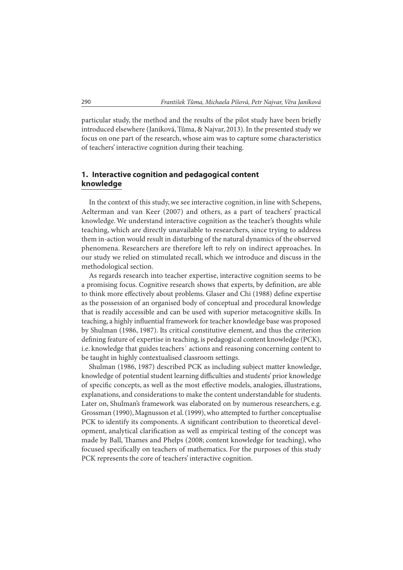particular study, the method and the results of the pilot study have been briefly introduced elsewhere (Janíková, Tůma, & Najvar, 2013). In the presented study we focus on one part of the research, whose aim was to capture some characteristics of teachers' interactive cognition during their teaching.

# **1. Interactive cognition and pedagogical content knowledge**

In the context of this study, we see interactive cognition, in line with Schepens, Aelterman and van Keer (2007) and others, as a part of teachers' practical knowledge. We understand interactive cognition as the teacher's thoughts while teaching, which are directly unavailable to researchers, since trying to address them in-action would result in disturbing of the natural dynamics of the observed phenomena. Researchers are therefore left to rely on indirect approaches. In our study we relied on stimulated recall, which we introduce and discuss in the methodological section.

As regards research into teacher expertise, interactive cognition seems to be a promising focus. Cognitive research shows that experts, by definition, are able to think more effectively about problems. Glaser and Chi (1988) define expertise as the possession of an organised body of conceptual and procedural knowledge that is readily accessible and can be used with superior metacognitive skills. In teaching, a highly influential framework for teacher knowledge base was proposed by Shulman (1986, 1987). Its critical constitutive element, and thus the criterion defining feature of expertise in teaching, is pedagogical content knowledge (PCK), i.e. knowledge that guides teachers´ actions and reasoning concerning content to be taught in highly contextualised classroom settings.

Shulman (1986, 1987) described PCK as including subject matter knowledge, knowledge of potential student learning difficulties and students' prior knowledge of specific concepts, as well as the most effective models, analogies, illustrations, explanations, and considerations to make the content understandable for students. Later on, Shulman's framework was elaborated on by numerous researchers, e.g. Grossman (1990), Magnusson et al. (1999), who attempted to further conceptualise PCK to identify its components. A significant contribution to theoretical development, analytical clarification as well as empirical testing of the concept was made by Ball, Thames and Phelps (2008; content knowledge for teaching), who focused specifically on teachers of mathematics. For the purposes of this study PCK represents the core of teachers' interactive cognition.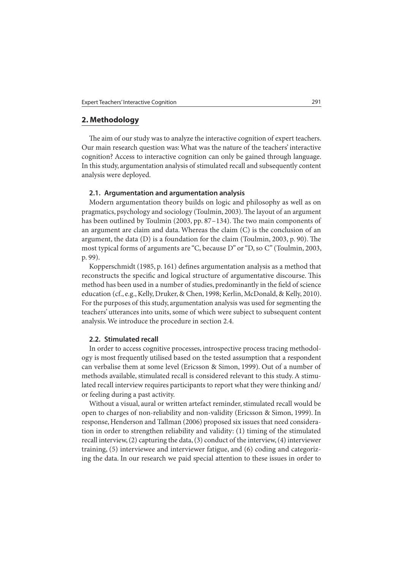# **2. Methodology**

The aim of our study was to analyze the interactive cognition of expert teachers. Our main research question was: What was the nature of the teachers' interactive cognition? Access to interactive cognition can only be gained through language. In this study, argumentation analysis of stimulated recall and subsequently content analysis were deployed.

#### **2.1. Argumentation and argumentation analysis**

Modern argumentation theory builds on logic and philosophy as well as on pragmatics, psychology and sociology (Toulmin, 2003). The layout of an argument has been outlined by Toulmin (2003, pp. 87-134). The two main components of an argument are claim and data. Whereas the claim (C) is the conclusion of an argument, the data  $(D)$  is a foundation for the claim (Toulmin, 2003, p. 90). The most typical forms of arguments are "C, because D" or "D, so C" (Toulmin, 2003, p. 99).

Kopperschmidt (1985, p. 161) defines argumentation analysis as a method that reconstructs the specific and logical structure of argumentative discourse. This method has been used in a number of studies, predominantly in the field of science education (cf., e.g., Kelly, Druker, & Chen, 1998; Kerlin, McDonald, & Kelly, 2010). For the purposes of this study, argumentation analysis was used for segmenting the teachers' utterances into units, some of which were subject to subsequent content analysis. We introduce the procedure in section 2.4.

#### **2.2. Stimulated recall**

In order to access cognitive processes, introspective process tracing methodology is most frequently utilised based on the tested assumption that a respondent can verbalise them at some level (Ericsson & Simon, 1999). Out of a number of methods available, stimulated recall is considered relevant to this study. A stimulated recall interview requires participants to report what they were thinking and/ or feeling during a past activity.

Without a visual, aural or written artefact reminder, stimulated recall would be open to charges of non-reliability and non-validity (Ericsson & Simon, 1999). In response, Henderson and Tallman (2006) proposed six issues that need consideration in order to strengthen reliability and validity: (1) timing of the stimulated recall interview, (2) capturing the data, (3) conduct of the interview, (4) interviewer training, (5) interviewee and interviewer fatigue, and (6) coding and categorizing the data. In our research we paid special attention to these issues in order to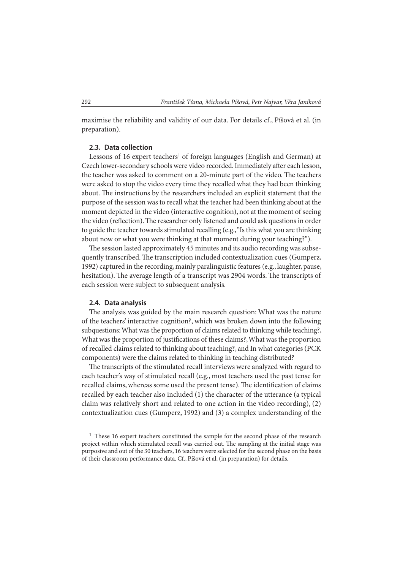maximise the reliability and validity of our data. For details cf., Píšová et al. (in preparation).

### **2.3. Data collection**

Lessons of 16 expert teachers<sup>1</sup> of foreign languages (English and German) at Czech lower-secondary schools were video recorded. Immediately after each lesson, the teacher was asked to comment on a 20-minute part of the video. The teachers were asked to stop the video every time they recalled what they had been thinking about. The instructions by the researchers included an explicit statement that the purpose of the session was to recall what the teacher had been thinking about at the moment depicted in the video (interactive cognition), not at the moment of seeing the video (reflection). The researcher only listened and could ask questions in order to guide the teacher towards stimulated recalling (e.g., "Is this what you are thinking about now or what you were thinking at that moment during your teaching?").

The session lasted approximately 45 minutes and its audio recording was subsequently transcribed. The transcription included contextualization cues (Gumperz, 1992) captured in the recording, mainly paralinguistic features (e.g., laughter, pause, hesitation). The average length of a transcript was 2904 words. The transcripts of each session were subject to subsequent analysis.

#### **2.4. Data analysis**

The analysis was guided by the main research question: What was the nature of the teachers' interactive cognition?, which was broken down into the following subquestions: What was the proportion of claims related to thinking while teaching?, What was the proportion of justifications of these claims?, What was the proportion of recalled claims related to thinking about teaching?, and In what categories (PCK components) were the claims related to thinking in teaching distributed?

The transcripts of the stimulated recall interviews were analyzed with regard to each teacher's way of stimulated recall (e.g., most teachers used the past tense for recalled claims, whereas some used the present tense). The identification of claims recalled by each teacher also included (1) the character of the utterance (a typical claim was relatively short and related to one action in the video recording), (2) contextualization cues (Gumperz, 1992) and (3) a complex understanding of the

 $1$  These 16 expert teachers constituted the sample for the second phase of the research project within which stimulated recall was carried out. The sampling at the initial stage was purposive and out of the 30 teachers, 16 teachers were selected for the second phase on the basis of their classroom performance data. Cf., Píšová et al. (in preparation) for details.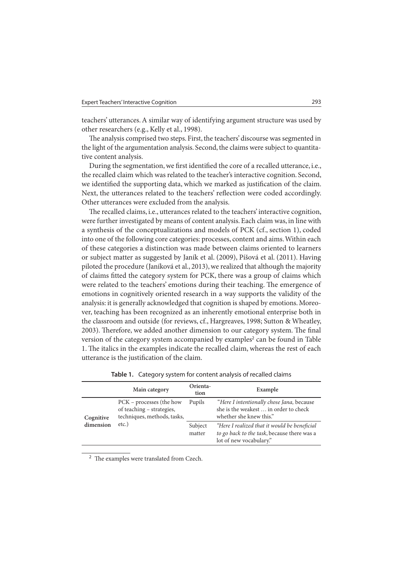teachers' utterances. A similar way of identifying argument structure was used by other researchers (e.g., Kelly et al., 1998).

The analysis comprised two steps. First, the teachers' discourse was segmented in the light of the argumentation analysis. Second, the claims were subject to quantitative content analysis.

During the segmentation, we first identified the core of a recalled utterance, i.e., the recalled claim which was related to the teacher's interactive cognition. Second, we identified the supporting data, which we marked as justification of the claim. Next, the utterances related to the teachers' reflection were coded accordingly. Other utterances were excluded from the analysis.

The recalled claims, i.e., utterances related to the teachers' interactive cognition, were further investigated by means of content analysis. Each claim was, in line with a synthesis of the conceptualizations and models of PCK (cf., section 1), coded into one of the following core categories: processes, content and aims. Within each of these categories a distinction was made between claims oriented to learners or subject matter as suggested by Janík et al. (2009), Píšová et al. (2011). Having piloted the procedure (Janíková et al., 2013), we realized that although the majority of claims fitted the category system for PCK, there was a group of claims which were related to the teachers' emotions during their teaching. The emergence of emotions in cognitively oriented research in a way supports the validity of the analysis: it is generally acknowledged that cognition is shaped by emotions. Moreover, teaching has been recognized as an inherently emotional enterprise both in the classroom and outside (for reviews, cf., Hargreaves, 1998; Sutton & Wheatley, 2003). Therefore, we added another dimension to our category system. The final version of the category system accompanied by examples<sup>2</sup> can be found in Table 1. The italics in the examples indicate the recalled claim, whereas the rest of each utterance is the justification of the claim.

|                        | Main category                                                                                    | Orienta-<br>tion  | Example                                                                                                                |
|------------------------|--------------------------------------------------------------------------------------------------|-------------------|------------------------------------------------------------------------------------------------------------------------|
| Cognitive<br>dimension | PCK – processes (the how<br>of teaching - strategies,<br>techniques, methods, tasks,<br>$etc.$ ) | Pupils            | "Here I intentionally chose Jana, because<br>she is the weakest  in order to check<br>whether she knew this."          |
|                        |                                                                                                  | Subject<br>matter | "Here I realized that it would be beneficial<br>to go back to the task, because there was a<br>lot of new vocabulary." |

**Table 1.** Category system for content analysis of recalled claims

<sup>2</sup> The examples were translated from Czech.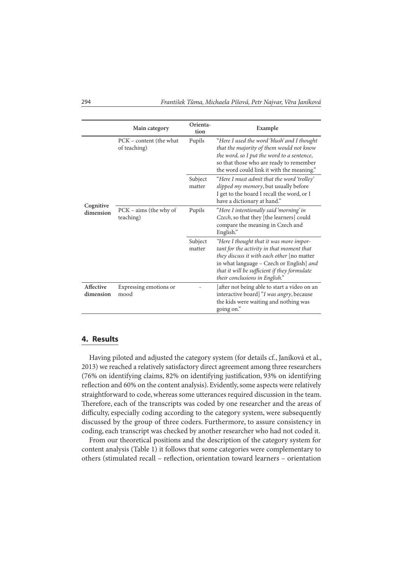|                        | Main category                           | Orienta-<br>tion  | Example                                                                                                                                                                                                                                                          |
|------------------------|-----------------------------------------|-------------------|------------------------------------------------------------------------------------------------------------------------------------------------------------------------------------------------------------------------------------------------------------------|
|                        | PCK – content (the what<br>of teaching) | Pupils            | "Here I used the word 'blush' and I thought<br>that the majority of them would not know<br>the word, so I put the word to a sentence,<br>so that those who are ready to remember<br>the word could link it with the meaning."                                    |
| Cognitive<br>dimension |                                         | Subject<br>matter | "Here I must admit that the word 'trolley'<br>slipped my memory, but usually before<br>I get to the board I recall the word, or I<br>have a dictionary at hand."                                                                                                 |
|                        | PCK – aims (the why of<br>teaching)     | Pupils            | "Here I intentionally said 'morning' in<br>Czech, so that they [the learners] could<br>compare the meaning in Czech and<br>English."                                                                                                                             |
|                        |                                         | Subject<br>matter | "Here I thought that it was more impor-<br>tant for the activity in that moment that<br>they discuss it with each other [no matter<br>in what language - Czech or English] and<br>that it will be sufficient if they formulate<br>their conclusions in English." |
| Affective<br>dimension | Expressing emotions or<br>mood          |                   | [after not being able to start a video on an<br>interactive board] "I was angry, because<br>the kids were waiting and nothing was<br>going on."                                                                                                                  |

### **4. Results**

Having piloted and adjusted the category system (for details cf., Janíková et al., 2013) we reached a relatively satisfactory direct agreement among three researchers (76% on identifying claims, 82% on identifying justification, 93% on identifying reflection and 60% on the content analysis). Evidently, some aspects were relatively straightforward to code, whereas some utterances required discussion in the team. Therefore, each of the transcripts was coded by one researcher and the areas of difficulty, especially coding according to the category system, were subsequently discussed by the group of three coders. Furthermore, to assure consistency in coding, each transcript was checked by another researcher who had not coded it.

From our theoretical positions and the description of the category system for content analysis (Table 1) it follows that some categories were complementary to others (stimulated recall – reflection, orientation toward learners – orientation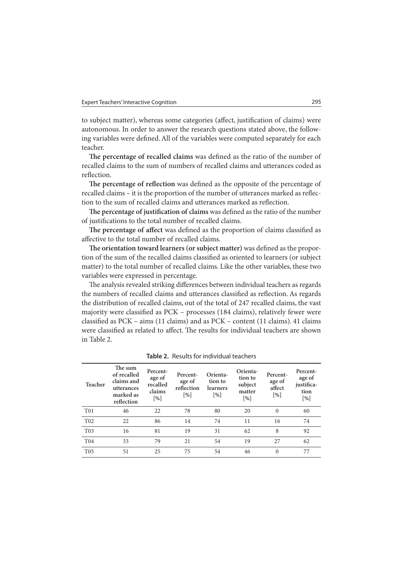to subject matter), whereas some categories (affect, justification of claims) were autonomous. In order to answer the research questions stated above, the following variables were defined. All of the variables were computed separately for each teacher.

The percentage of recalled claims was defined as the ratio of the number of recalled claims to the sum of numbers of recalled claims and utterances coded as reflection.

The percentage of reflection was defined as the opposite of the percentage of recalled claims – it is the proportion of the number of utterances marked as reflection to the sum of recalled claims and utterances marked as reflection.

The percentage of justification of claims was defined as the ratio of the number of justifications to the total number of recalled claims.

The percentage of affect was defined as the proportion of claims classified as affective to the total number of recalled claims.

The orientation toward learners (or subject matter) was defined as the proportion of the sum of the recalled claims classified as oriented to learners (or subject matter) to the total number of recalled claims. Like the other variables, these two variables were expressed in percentage.

The analysis revealed striking differences between individual teachers as regards the numbers of recalled claims and utterances classified as reflection. As regards the distribution of recalled claims, out of the total of 247 recalled claims, the vast majority were classified as PCK - processes (184 claims), relatively fewer were classified as  $PCK - aims (11 claims)$  and as  $PCK - content (11 claims)$ . 41 claims were classified as related to affect. The results for individual teachers are shown in Table 2.

| Teacher         | The sum<br>of recalled<br>claims and<br>utterances<br>marked as<br>reflection | Percent-<br>age of<br>recalled<br>claims<br>$\lceil \frac{9}{6} \rceil$ | Percent-<br>age of<br>reflection<br>$\lceil \% \rceil$ | Orienta-<br>tion to<br>learners<br>$\lceil % \rceil$ | Orienta-<br>tion to<br>subject<br>matter<br>$\lceil \% \rceil$ | Percent-<br>age of<br>affect<br>$\lceil\% \rceil$ | Percent-<br>age of<br>justifica-<br>tion<br>$\lceil \% \rceil$ |
|-----------------|-------------------------------------------------------------------------------|-------------------------------------------------------------------------|--------------------------------------------------------|------------------------------------------------------|----------------------------------------------------------------|---------------------------------------------------|----------------------------------------------------------------|
| T <sub>01</sub> | 46                                                                            | 22                                                                      | 78                                                     | 80                                                   | 20                                                             | $\Omega$                                          | 60                                                             |
| T <sub>02</sub> | 22                                                                            | 86                                                                      | 14                                                     | 74                                                   | 11                                                             | 16                                                | 74                                                             |
| T <sub>03</sub> | 16                                                                            | 81                                                                      | 19                                                     | 31                                                   | 62                                                             | 8                                                 | 92                                                             |
| T <sub>04</sub> | 33                                                                            | 79                                                                      | 21                                                     | 54                                                   | 19                                                             | 27                                                | 62                                                             |
| T <sub>05</sub> | 51                                                                            | 25                                                                      | 75                                                     | 54                                                   | 46                                                             | $\Omega$                                          | 77                                                             |
|                 |                                                                               |                                                                         |                                                        |                                                      |                                                                |                                                   |                                                                |

**Table 2.** Results for individual teachers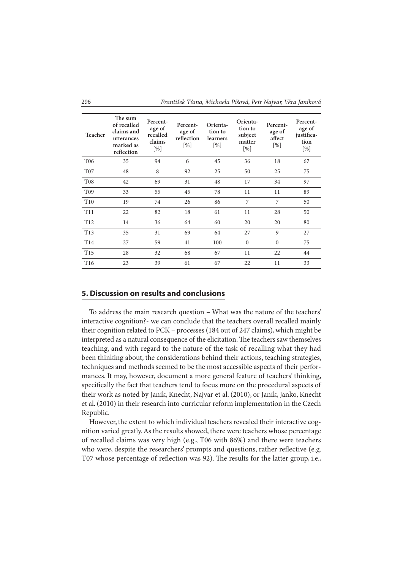| <b>Teacher</b>  | The sum<br>of recalled<br>claims and<br>utterances<br>marked as<br>reflection | Percent-<br>age of<br>recalled<br>claims<br>[%] | Percent-<br>age of<br>reflection<br>$[\%]$ | Orienta-<br>tion to<br>learners<br>$[\%]$ | Orienta-<br>tion to<br>subject<br>matter<br>[%] | Percent-<br>age of<br>affect<br>$[\%]$ | Percent-<br>age of<br>justifica-<br>tion<br>[%] |
|-----------------|-------------------------------------------------------------------------------|-------------------------------------------------|--------------------------------------------|-------------------------------------------|-------------------------------------------------|----------------------------------------|-------------------------------------------------|
| T <sub>06</sub> | 35                                                                            | 94                                              | 6                                          | 45                                        | 36                                              | 18                                     | 67                                              |
| T <sub>07</sub> | 48                                                                            | 8                                               | 92                                         | 25                                        | 50                                              | 25                                     | 75                                              |
| <b>T08</b>      | 42                                                                            | 69                                              | 31                                         | 48                                        | 17                                              | 34                                     | 97                                              |
| T <sub>09</sub> | 33                                                                            | 55                                              | 45                                         | 78                                        | 11                                              | 11                                     | 89                                              |
| T <sub>10</sub> | 19                                                                            | 74                                              | 26                                         | 86                                        | 7                                               | 7                                      | 50                                              |
| T <sub>11</sub> | 22                                                                            | 82                                              | 18                                         | 61                                        | 11                                              | 28                                     | 50                                              |
| T <sub>12</sub> | 14                                                                            | 36                                              | 64                                         | 60                                        | 20                                              | 20                                     | 80                                              |
| T <sub>13</sub> | 35                                                                            | 31                                              | 69                                         | 64                                        | 27                                              | 9                                      | 27                                              |
| T <sub>14</sub> | 27                                                                            | 59                                              | 41                                         | 100                                       | $\theta$                                        | $\Omega$                               | 75                                              |
| T <sub>15</sub> | 28                                                                            | 32                                              | 68                                         | 67                                        | 11                                              | 22                                     | 44                                              |
| T <sub>16</sub> | 23                                                                            | 39                                              | 61                                         | 67                                        | 22                                              | 11                                     | 33                                              |

# **5. Discussion on results and conclusions**

To address the main research question – What was the nature of the teachers' interactive cognition?- we can conclude that the teachers overall recalled mainly their cognition related to PCK – processes (184 out of 247 claims), which might be interpreted as a natural consequence of the elicitation. The teachers saw themselves teaching, and with regard to the nature of the task of recalling what they had been thinking about, the considerations behind their actions, teaching strategies, techniques and methods seemed to be the most accessible aspects of their performances. It may, however, document a more general feature of teachers' thinking, specifically the fact that teachers tend to focus more on the procedural aspects of their work as noted by Janík, Knecht, Najvar et al. (2010), or Janík, Janko, Knecht et al. (2010) in their research into curricular reform implementation in the Czech Republic.

However, the extent to which individual teachers revealed their interactive cognition varied greatly. As the results showed, there were teachers whose percentage of recalled claims was very high (e.g., T06 with 86%) and there were teachers who were, despite the researchers' prompts and questions, rather reflective (e.g. T07 whose percentage of reflection was 92). The results for the latter group, i.e.,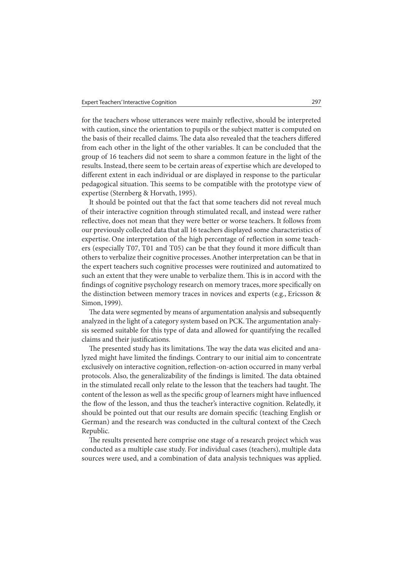for the teachers whose utterances were mainly reflective, should be interpreted with caution, since the orientation to pupils or the subject matter is computed on the basis of their recalled claims. The data also revealed that the teachers differed from each other in the light of the other variables. It can be concluded that the group of 16 teachers did not seem to share a common feature in the light of the results. Instead, there seem to be certain areas of expertise which are developed to different extent in each individual or are displayed in response to the particular pedagogical situation. This seems to be compatible with the prototype view of expertise (Sternberg & Horvath, 1995).

It should be pointed out that the fact that some teachers did not reveal much of their interactive cognition through stimulated recall, and instead were rather reflective, does not mean that they were better or worse teachers. It follows from our previously collected data that all 16 teachers displayed some characteristics of expertise. One interpretation of the high percentage of reflection in some teachers (especially T07, T01 and T05) can be that they found it more difficult than others to verbalize their cognitive processes. Another interpretation can be that in the expert teachers such cognitive processes were routinized and automatized to such an extent that they were unable to verbalize them. This is in accord with the findings of cognitive psychology research on memory traces, more specifically on the distinction between memory traces in novices and experts (e.g., Ericsson & Simon, 1999).

The data were segmented by means of argumentation analysis and subsequently analyzed in the light of a category system based on PCK. The argumentation analysis seemed suitable for this type of data and allowed for quantifying the recalled claims and their justifications.

The presented study has its limitations. The way the data was elicited and analyzed might have limited the findings. Contrary to our initial aim to concentrate exclusively on interactive cognition, reflection-on-action occurred in many verbal protocols. Also, the generalizability of the findings is limited. The data obtained in the stimulated recall only relate to the lesson that the teachers had taught. The content of the lesson as well as the specific group of learners might have influenced the flow of the lesson, and thus the teacher's interactive cognition. Relatedly, it should be pointed out that our results are domain specific (teaching English or German) and the research was conducted in the cultural context of the Czech Republic.

The results presented here comprise one stage of a research project which was conducted as a multiple case study. For individual cases (teachers), multiple data sources were used, and a combination of data analysis techniques was applied.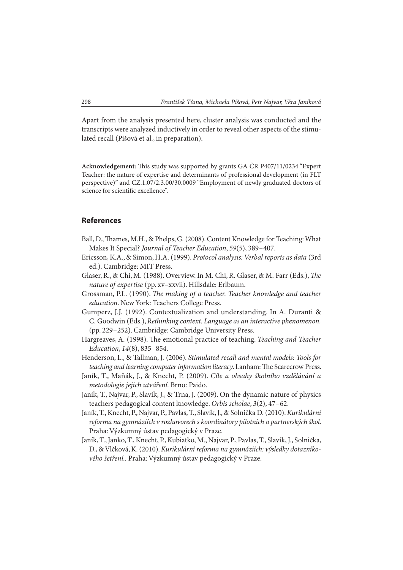Apart from the analysis presented here, cluster analysis was conducted and the transcripts were analyzed inductively in order to reveal other aspects of the stimulated recall (Píšová et al., in preparation).

Acknowledgement: This study was supported by grants GA ČR P407/11/0234 "Expert Teacher: the nature of expertise and determinants of professional development (in FLT perspective)" and CZ.1.07/2.3.00/30.0009 "Employment of newly graduated doctors of science for scientific excellence".

# **References**

- Ball, D., Thames, M.H., & Phelps, G. (2008). Content Knowledge for Teaching: What Makes It Special? *Journal of Teacher Education*, *59*(5), 389 – 407.
- Ericsson, K.A., & Simon, H.A. (1999). *Protocol analysis: Verbal reports as data* (3rd ed.). Cambridge: MIT Press.
- Glaser, R., & Chi, M. (1988). Overview. In M. Chi, R. Glaser, & M. Farr (Eds.), *The nature of expertise* (pp. xv–xxvii). Hillsdale: Erlbaum.
- Grossman, P.L. (1990). *The making of a teacher*. *Teacher knowledge and teacher education*. New York: Teachers College Press.
- Gumperz, J.J. (1992). Contextualization and understanding. In A. Duranti & C. Goodwin (Eds.), *Rethinking context. Language as an interactive phenomenon.* (pp. 229 – 252). Cambridge: Cambridge University Press.
- Hargreaves, A. (1998). The emotional practice of teaching. *Teaching and Teacher Education*, *14*(8), 835 – 854.
- Henderson, L., & Tallman, J. (2006). *Stimulated recall and mental models: Tools for*  teaching and learning computer information literacy. Lanham: The Scarecrow Press.
- Janík, T., Maňák, J., & Knecht, P. (2009). *Cíle a obsahy školního vzdělávání a metodologie jejich utváření.* Brno: Paido.
- Janík, T., Najvar, P., Slavík, J., & Trna, J. (2009). On the dynamic nature of physics teachers pedagogical content knowledge. *Orbis scholae*, *3*(2), 47 – 62.
- Janík, T., Knecht, P., Najvar, P., Pavlas, T., Slavík, J., & Solnička D. (2010). *Kurikulární reforma na gymnáziích v rozhovorech s koordinátory pilotních a partnerských škol*. Praha: Výzkumný ústav pedagogický v Praze.
- Janík, T., Janko, T., Knecht, P., Kubiatko, M., Najvar, P., Pavlas, T., Slavík, J., Solnička, D., & Vlčková, K. (2010). *Kurikulární reforma na gymnáziích: výsledky dotazníkového šetření..* Praha: Výzkumný ústav pedagogický v Praze.